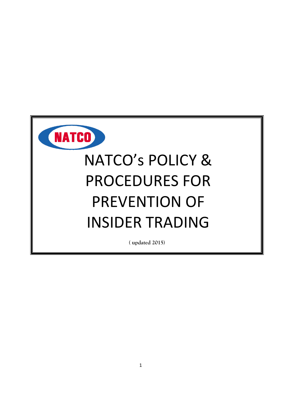

# NATCO's POLICY & PROCEDURES FOR PREVENTION OF INSIDER TRADING

**( updated 2015)**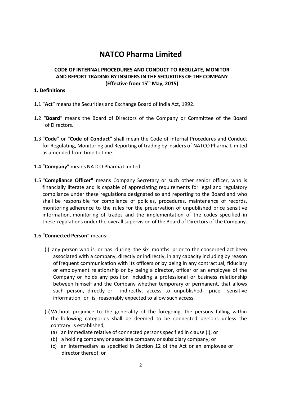# **NATCO Pharma Limited**

# **CODE OF INTERNAL PROCEDURES AND CONDUCT TO REGULATE, MONITOR AND REPORT TRADING BY INSIDERS IN THE SECURITIES OF THE COMPANY (Effective from 15 th May, 2015)**

#### **1. Definitions**

- 1.1 "**Act**" means the Securities and Exchange Board of India Act, 1992.
- 1.2 "**Board**" means the Board of Directors of the Company or Committee of the Board of Directors.
- 1.3 "**Code**" or "**Code of Conduct**" shall mean the Code of Internal Procedures and Conduct for Regulating, Monitoring and Reporting of trading by insiders of NATCO Pharma Limited as amended from time to time.
- 1.4 "**Company**" means NATCO Pharma Limited.
- 1.5 **"Compliance Officer"** means Company Secretary or such other senior officer, who is financially literate and is capable of appreciating requirements for legal and regulatory compliance under these regulations designated so and reporting to the Board and who shall be responsible for compliance of policies, procedures, maintenance of records, monitoring adherence to the rules for the preservation of unpublished price sensitive information, monitoring of trades and the implementation of the codes specified in these regulations under the overall supervision of the Board of Directors of the Company.
- 1.6 "**Connected Person**" means:
	- (i) any person who is or has during the six months prior to the concerned act been associated with a company, directly or indirectly, in any capacity including by reason of frequent communication with its officers or by being in any contractual, fiduciary or employment relationship or by being a director, officer or an employee of the Company or holds any position including a professional or business relationship between himself and the Company whether temporary or permanent, that allows such person, directly or indirectly, access to unpublished price sensitive information or is reasonably expected to allow such access.
	- (ii)Without prejudice to the generality of the foregoing, the persons falling within the following categories shall be deemed to be connected persons unless the contrary is established,
		- (a) an immediate relative of connected persons specified in clause (i); or
		- (b) a holding company or associate company or subsidiary company; or
		- (c) an intermediary as specified in Section 12 of the Act or an employee or director thereof; or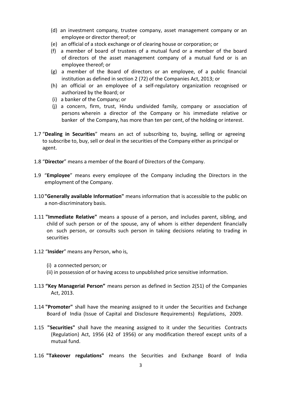- (d) an investment company, trustee company, asset management company or an employee or director thereof; or
- (e) an official of a stock exchange or of clearing house or corporation; or
- (f) a member of board of trustees of a mutual fund or a member of the board of directors of the asset management company of a mutual fund or is an employee thereof; or
- (g) a member of the Board of directors or an employee, of a public financial institution as defined in section 2 (72) of the Companies Act, 2013; or
- (h) an official or an employee of a self-regulatory organization recognised or authorized by the Board; or
- (i) a banker of the Company; or
- (j) a concern, firm, trust, Hindu undivided family, company or association of persons wherein a director of the Company or his immediate relative or banker of the Company, has more than ten per cent, of the holding or interest.
- 1.7 "**Dealing in Securities**" means an act of subscribing to, buying, selling or agreeing to subscribe to, buy, sell or deal in the securities of the Company either as principal or agent.
- 1.8 "**Director**" means a member of the Board of Directors of the Company.
- 1.9 "**Employee**" means every employee of the Company including the Directors in the employment of the Company.
- 1.10**"Generally available Information"** means information that is accessible to the public on a non-discriminatory basis.
- 1.11 **"Immediate Relative"** means a spouse of a person, and includes parent, sibling, and child of such person or of the spouse, any of whom is either dependent financially on such person, or consults such person in taking decisions relating to trading in securities
- 1.12 "**Insider**" means any Person, who is,
	- (i) a connected person; or
	- (ii) in possession of or having access to unpublished price sensitive information.
- 1.13 **"Key Managerial Person"** means person as defined in Section 2(51) of the Companies Act, 2013.
- 1.14 **"Promoter"** shall have the meaning assigned to it under the Securities and Exchange Board of India (Issue of Capital and Disclosure Requirements) Regulations, 2009.
- 1.15 **"Securities"** shall have the meaning assigned to it under the Securities Contracts (Regulation) Act, 1956 (42 of 1956) or any modification thereof except units of a mutual fund.
- 1.16 **"Takeover regulations"** means the Securities and Exchange Board of India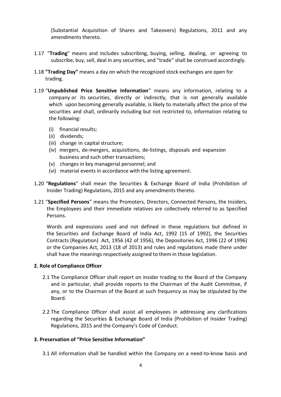(Substantial Acquisition of Shares and Takeovers) Regulations, 2011 and any amendments thereto.

- 1.17 "**Trading**" means and includes subscribing, buying, selling, dealing, or agreeing to subscribe, buy, sell, deal in any securities, and "trade" shall be construed accordingly.
- 1.18 **"Trading Day"** means a day on which the recognized stock exchanges are open for trading.
- 1.19 "**Unpublished Price Sensitive Information**" means any information, relating to a company or its securities, directly or indirectly, that is not generally available which upon becoming generally available, is likely to materially affect the price of the securities and shall, ordinarily including but not restricted to, information relating to the following:
	- (i) financial results;
	- (ii) dividends;
	- (iii) change in capital structure;
	- (iv) mergers, de-mergers, acquisitions, de-listings, disposals and expansion business and such other transactions;
	- (v) changes in key managerial personnel; and
	- (vi) material events in accordance with the listing agreement.
- 1.20 "**Regulations**" shall mean the Securities & Exchange Board of India (Prohibition of Insider Trading) Regulations, 2015 and any amendments thereto.
- 1.21 "**Specified Persons**" means the Promoters, Directors, Connected Persons, the Insiders, the Employees and their immediate relatives are collectively referred to as Specified Persons.

Words and expressions used and not defined in these regulations but defined in the Securities and Exchange Board of India Act, 1992 (15 of 1992), the Securities Contracts (Regulation) Act, 1956 (42 of 1956), the Depositories Act, 1996 (22 of 1996) or the Companies Act, 2013 (18 of 2013) and rules and regulations made there under shall have the meanings respectively assigned to them in those legislation.

#### **2. Role of Compliance Officer**

- 2.1 The Compliance Officer shall report on insider trading to the Board of the Company and in particular, shall provide reports to the Chairman of the Audit Committee, if any, or to the Chairman of the Board at such frequency as may be stipulated by the Board.
- 2.2 The Compliance Officer shall assist all employees in addressing any clarifications regarding the Securities & Exchange Board of India (Prohibition of Insider Trading) Regulations, 2015 and the Company's Code of Conduct.

#### **3. Preservation of "Price Sensitive Information"**

3.1 All information shall be handled within the Company on a need-to-know basis and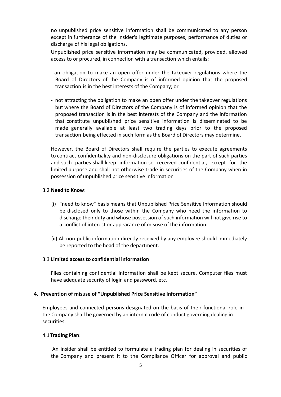no unpublished price sensitive information shall be communicated to any person except in furtherance of the insider's legitimate purposes, performance of duties or discharge of his legal obligations.

Unpublished price sensitive information may be communicated, provided, allowed access to or procured, in connection with a transaction which entails:

- an obligation to make an open offer under the takeover regulations where the Board of Directors of the Company is of informed opinion that the proposed transaction is in the best interests of the Company; or
- not attracting the obligation to make an open offer under the takeover regulations but where the Board of Directors of the Company is of informed opinion that the proposed transaction is in the best interests of the Company and the information that constitute unpublished price sensitive information is disseminated to be made generally available at least two trading days prior to the proposed transaction being effected in such form as the Board of Directors may determine.

However, the Board of Directors shall require the parties to execute agreements to contract confidentiality and non-disclosure obligations on the part of such parties and such parties shall keep information so received confidential, except for the limited purpose and shall not otherwise trade in securities of the Company when in possession of unpublished price sensitive information

#### 3.2 **Need to Know**:

- (i) "need to know" basis means that Unpublished Price Sensitive Information should be disclosed only to those within the Company who need the information to discharge their duty and whose possession of such information will not give rise to a conflict of interest or appearance of misuse of the information.
- (ii) All non-public information directly received by any employee should immediately be reported to the head of the department.

#### 3.3 **Limited access to confidential information**

Files containing confidential information shall be kept secure. Computer files must have adequate security of login and password, etc.

#### **4. Prevention of misuse of "Unpublished Price Sensitive Information"**

Employees and connected persons designated on the basis of their functional role in the Company shall be governed by an internal code of conduct governing dealing in securities.

#### 4.1**Trading Plan**:

An insider shall be entitled to formulate a trading plan for dealing in securities of the Company and present it to the Compliance Officer for approval and public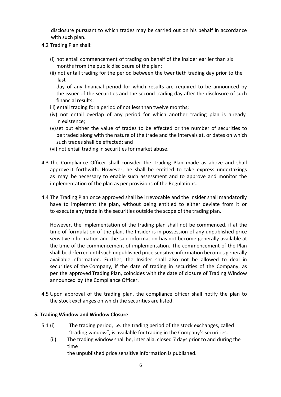disclosure pursuant to which trades may be carried out on his behalf in accordance with such plan.

- 4.2 Trading Plan shall:
	- (i) not entail commencement of trading on behalf of the insider earlier than six months from the public disclosure of the plan;
	- (ii) not entail trading for the period between the twentieth trading day prior to the last

day of any financial period for which results are required to be announced by the issuer of the securities and the second trading day after the disclosure of such financial results;

- iii) entail trading for a period of not less than twelve months;
- (iv) not entail overlap of any period for which another trading plan is already in existence;
- (v)set out either the value of trades to be effected or the number of securities to be traded along with the nature of the trade and the intervals at, or dates on which such trades shall be effected; and
- (vi) not entail trading in securities for market abuse.
- 4.3 The Compliance Officer shall consider the Trading Plan made as above and shall approve it forthwith. However, he shall be entitled to take express undertakings as may be necessary to enable such assessment and to approve and monitor the implementation of the plan as per provisions of the Regulations.
- 4.4 The Trading Plan once approved shall be irrevocable and the Insider shall mandatorily have to implement the plan, without being entitled to either deviate from it or to execute any trade in the securities outside the scope of the trading plan.

However, the implementation of the trading plan shall not be commenced, if at the time of formulation of the plan, the Insider is in possession of any unpublished price sensitive information and the said information has not become generally available at the time of the commencement of implementation. The commencement of the Plan shall be deferred until such unpublished price sensitive information becomes generally available information. Further, the Insider shall also not be allowed to deal in securities of the Company, if the date of trading in securities of the Company, as per the approved Trading Plan, coincides with the date of closure of Trading Window announced by the Compliance Officer.

4.5 Upon approval of the trading plan, the compliance officer shall notify the plan to the stock exchanges on which the securities are listed.

#### **5. Trading Window and Window Closure**

- 5.1 (i) The trading period, i.e. the trading period of the stock exchanges, called 'trading window", is available for trading in the Company's securities.
	- (ii) The trading window shall be, inter alia, closed 7 days prior to and during the time

the unpublished price sensitive information is published.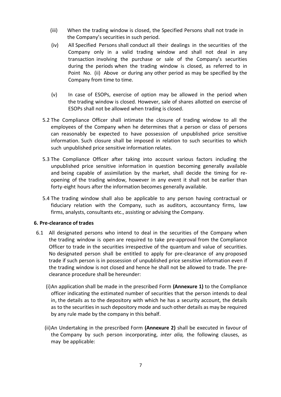- (iii) When the trading window is closed, the Specified Persons shall not trade in the Company's securities in such period.
- (iv) All Specified Persons shall conduct all their dealings in the securities of the Company only in a valid trading window and shall not deal in any transaction involving the purchase or sale of the Company's securities during the periods when the trading window is closed, as referred to in Point No. (ii) Above or during any other period as may be specified by the Company from time to time.
- (v) In case of ESOPs, exercise of option may be allowed in the period when the trading window is closed. However, sale of shares allotted on exercise of ESOPs shall not be allowed when trading is closed.
- 5.2 The Compliance Officer shall intimate the closure of trading window to all the employees of the Company when he determines that a person or class of persons can reasonably be expected to have possession of unpublished price sensitive information. Such closure shall be imposed in relation to such securities to which such unpublished price sensitive information relates.
- 5.3 The Compliance Officer after taking into account various factors including the unpublished price sensitive information in question becoming generally available and being capable of assimilation by the market, shall decide the timing for reopening of the trading window, however in any event it shall not be earlier than forty-eight hours after the information becomes generally available.
- 5.4 The trading window shall also be applicable to any person having contractual or fiduciary relation with the Company, such as auditors, accountancy firms, law firms, analysts, consultants etc., assisting or advising the Company.

#### **6. Pre-clearance of trades**

- 6.1 All designated persons who intend to deal in the securities of the Company when the trading window is open are required to take pre-approval from the Compliance Officer to trade in the securities irrespective of the quantum and value of securities. No designated person shall be entitled to apply for pre-clearance of any proposed trade if such person is in possession of unpublished price sensitive information even if the trading window is not closed and hence he shall not be allowed to trade. The preclearance procedure shall be hereunder:
	- (i)An application shall be made in the prescribed Form **(Annexure 1)** to the Compliance officer indicating the estimated number of securities that the person intends to deal in, the details as to the depository with which he has a security account, the details as to the securities in such depository mode and such other details as may be required by any rule made by the company in this behalf.
	- (ii)An Undertaking in the prescribed Form **(Annexure 2)** shall be executed in favour of the Company by such person incorporating, *inter alia,* the following clauses, as may be applicable: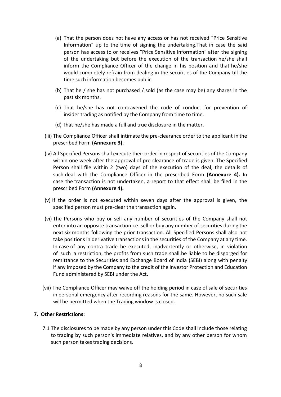- (a) That the person does not have any access or has not received "Price Sensitive Information" up to the time of signing the undertaking.That in case the said person has access to or receives "Price Sensitive Information" after the signing of the undertaking but before the execution of the transaction he/she shall inform the Compliance Officer of the change in his position and that he/she would completely refrain from dealing in the securities of the Company till the time such information becomes public.
- (b) That he / she has not purchased / sold (as the case may be) any shares in the past six months.
- (c) That he/she has not contravened the code of conduct for prevention of insider trading as notified by the Company from time to time.
- (d) That he/she has made a full and true disclosure in the matter.
- (iii) The Compliance Officer shall intimate the pre-clearance order to the applicant in the prescribed Form **(Annexure 3).**
- (iv) All Specified Persons shall execute their order in respect of securities of the Company within one week after the approval of pre-clearance of trade is given. The Specified Person shall file within 2 (two) days of the execution of the deal, the details of such deal with the Compliance Officer in the prescribed Form **(Annexure 4).** In case the transaction is not undertaken, a report to that effect shall be filed in the prescribed Form **(Annexure 4).**
- (v) If the order is not executed within seven days after the approval is given, the specified person must pre-clear the transaction again.
- (vi) The Persons who buy or sell any number of securities of the Company shall not enter into an opposite transaction i.e. sell or buy any number of securities during the next six months following the prior transaction. All Specified Persons shall also not take positions in derivative transactions in the securities of the Company at any time. In case of any contra trade be executed, inadvertently or otherwise, in violation of such a restriction, the profits from such trade shall be liable to be disgorged for remittance to the Securities and Exchange Board of India (SEBI) along with penalty if any imposed by the Company to the credit of the Investor Protection and Education Fund administered by SEBI under the Act.
- (vii) The Compliance Officer may waive off the holding period in case of sale of securities in personal emergency after recording reasons for the same. However, no such sale will be permitted when the Trading window is closed.

#### **7. Other Restrictions:**

7.1 The disclosures to be made by any person under this Code shall include those relating to trading by such person's immediate relatives, and by any other person for whom such person takes trading decisions.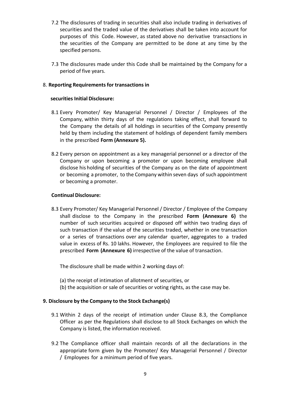- 7.2 The disclosures of trading in securities shall also include trading in derivatives of securities and the traded value of the derivatives shall be taken into account for purposes of this Code. However, as stated above no derivative transactions in the securities of the Company are permitted to be done at any time by the specified persons.
- 7.3 The disclosures made under this Code shall be maintained by the Company for a period of five years.

#### 8. **Reporting Requirementsfor transactions in**

#### **securities Initial Disclosure:**

- 8.1 Every Promoter/ Key Managerial Personnel / Director / Employees of the Company, within thirty days of the regulations taking effect, shall forward to the Company the details of all holdings in securities of the Company presently held by them including the statement of holdings of dependent family members in the prescribed **Form (Annexure 5).**
- 8.2 Every person on appointment as a key managerial personnel or a director of the Company or upon becoming a promoter or upon becoming employee shall disclose his holding of securities of the Company as on the date of appointment or becoming a promoter, to the Company within seven days of such appointment or becoming a promoter.

#### **Continual Disclosure:**

8.3 Every Promoter/ Key Managerial Personnel / Director / Employee of the Company shall disclose to the Company in the prescribed **Form (Annexure 6)** the number of such securities acquired or disposed off within two trading days of such transaction if the value of the securities traded, whether in one transaction or a series of transactions over any calendar quarter, aggregates to a traded value in excess of Rs. 10 lakhs. However, the Employees are required to file the prescribed **Form (Annexure 6)** irrespective of the value of transaction.

The disclosure shall be made within 2 working days of:

- (a) the receipt of intimation of allotment of securities, or
- (b) the acquisition or sale of securities or voting rights, as the case may be.

# **9. Disclosure by the Company to the Stock Exchange(s)**

- 9.1 Within 2 days of the receipt of intimation under Clause 8.3, the Compliance Officer as per the Regulations shall disclose to all Stock Exchanges on which the Company is listed, the information received.
- 9.2 The Compliance officer shall maintain records of all the declarations in the appropriate form given by the Promoter/ Key Managerial Personnel / Director / Employees for a minimum period of five years.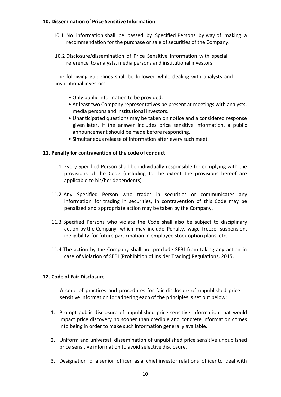#### **10. Dissemination of Price Sensitive Information**

- 10.1 No information shall be passed by Specified Persons by way of making a recommendation for the purchase or sale of securities of the Company.
- 10.2 Disclosure/dissemination of Price Sensitive Information with special reference to analysts, media persons and institutional investors:

The following guidelines shall be followed while dealing with analysts and institutional investors-

- Only public information to be provided.
- At least two Company representatives be present at meetings with analysts, media persons and institutional investors.
- Unanticipated questions may be taken on notice and a considered response given later. If the answer includes price sensitive information, a public announcement should be made before responding.
- Simultaneous release of information after every such meet.

# **11. Penalty for contravention of the code of conduct**

- 11.1 Every Specified Person shall be individually responsible for complying with the provisions of the Code (including to the extent the provisions hereof are applicable to his/her dependents).
- 11.2 Any Specified Person who trades in securities or communicates any information for trading in securities, in contravention of this Code may be penalized and appropriate action may be taken by the Company.
- 11.3 Specified Persons who violate the Code shall also be subject to disciplinary action by the Company, which may include Penalty, wage freeze, suspension, ineligibility for future participation in employee stock option plans, etc.
- 11.4 The action by the Company shall not preclude SEBI from taking any action in case of violation of SEBI (Prohibition of Insider Trading) Regulations, 2015.

# **12. Code of Fair Disclosure**

A code of practices and procedures for fair disclosure of unpublished price sensitive information for adhering each of the principles is set out below:

- 1. Prompt public disclosure of unpublished price sensitive information that would impact price discovery no sooner than credible and concrete information comes into being in order to make such information generally available.
- 2. Uniform and universal dissemination of unpublished price sensitive unpublished price sensitive information to avoid selective disclosure.
- 3. Designation of a senior officer as a chief investor relations officer to deal with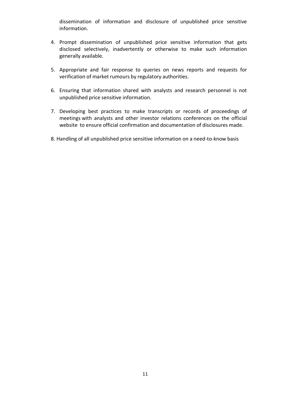dissemination of information and disclosure of unpublished price sensitive information.

- 4. Prompt dissemination of unpublished price sensitive information that gets disclosed selectively, inadvertently or otherwise to make such information generally available.
- 5. Appropriate and fair response to queries on news reports and requests for verification of market rumours by regulatory authorities.
- 6. Ensuring that information shared with analysts and research personnel is not unpublished price sensitive information.
- 7. Developing best practices to make transcripts or records of proceedings of meetings with analysts and other investor relations conferences on the official website to ensure official confirmation and documentation of disclosures made.
- 8. Handling of all unpublished price sensitive information on a need-to-know basis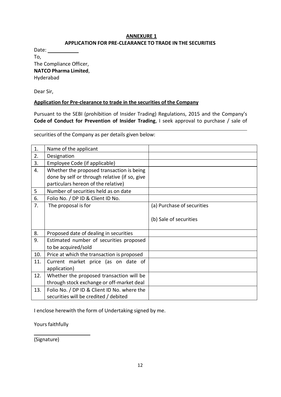#### **ANNEXURE 1 APPLICATION FOR PRE-CLEARANCE TO TRADE IN THE SECURITIES**

Date: To, The Compliance Officer, **NATCO Pharma Limited**, Hyderabad

Dear Sir,

#### **Application for Pre-clearance to trade in the securities of the Company**

Pursuant to the SEBI (prohibition of Insider Trading) Regulations, 2015 and the Company's **Code of Conduct for Prevention of Insider Trading**, I seek approval to purchase / sale of

securities of the Company as per details given below:

| 1.  | Name of the applicant                         |                            |
|-----|-----------------------------------------------|----------------------------|
| 2.  | Designation                                   |                            |
| 3.  | Employee Code (if applicable)                 |                            |
| 4.  | Whether the proposed transaction is being     |                            |
|     | done by self or through relative (if so, give |                            |
|     | particulars hereon of the relative)           |                            |
| 5   | Number of securities held as on date          |                            |
| 6.  | Folio No. / DP ID & Client ID No.             |                            |
| 7.  | The proposal is for                           | (a) Purchase of securities |
|     |                                               |                            |
|     |                                               | (b) Sale of securities     |
|     |                                               |                            |
| 8.  | Proposed date of dealing in securities        |                            |
| 9.  | Estimated number of securities proposed       |                            |
|     | to be acquired/sold                           |                            |
| 10. | Price at which the transaction is proposed    |                            |
| 11. | Current market price (as on date of           |                            |
|     | application)                                  |                            |
| 12. | Whether the proposed transaction will be      |                            |
|     | through stock exchange or off-market deal     |                            |
| 13. | Folio No. / DP ID & Client ID No. where the   |                            |
|     | securities will be credited / debited         |                            |

I enclose herewith the form of Undertaking signed by me.

Yours faithfully

(Signature)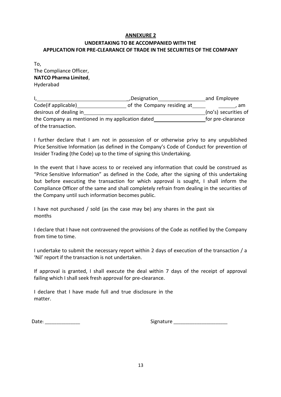# **UNDERTAKING TO BE ACCOMPANIED WITH THE APPLICATION FOR PRE-CLEARANCE OF TRADE IN THE SECURITIES OF THE COMPANY**

| To.                          |
|------------------------------|
| The Compliance Officer,      |
| <b>NATCO Pharma Limited,</b> |
| Hyderabad                    |

|                                                  | and Employee               |                      |  |
|--------------------------------------------------|----------------------------|----------------------|--|
| Code(if applicable)                              | of the Company residing at | . am                 |  |
| desirous of dealing in                           |                            | (no's) securities of |  |
| the Company as mentioned in my application dated |                            | for pre-clearance    |  |
| of the transaction.                              |                            |                      |  |

I further declare that I am not in possession of or otherwise privy to any unpublished Price Sensitive Information (as defined in the Company's Code of Conduct for prevention of Insider Trading (the Code) up to the time of signing this Undertaking.

In the event that I have access to or received any information that could be construed as "Price Sensitive Information" as defined in the Code, after the signing of this undertaking but before executing the transaction for which approval is sought, I shall inform the Compliance Officer of the same and shall completely refrain from dealing in the securities of the Company until such information becomes public.

I have not purchased / sold (as the case may be) any shares in the past six months

I declare that I have not contravened the provisions of the Code as notified by the Company from time to time.

I undertake to submit the necessary report within 2 days of execution of the transaction / a 'Nil' report if the transaction is not undertaken.

If approval is granted, I shall execute the deal within 7 days of the receipt of approval failing which I shall seek fresh approval for pre-clearance.

I declare that I have made full and true disclosure in the matter.

Date: \_\_\_\_\_\_\_\_\_\_\_\_\_\_\_ Signature \_\_\_\_\_\_\_\_\_\_\_\_\_\_\_\_\_\_\_\_\_\_\_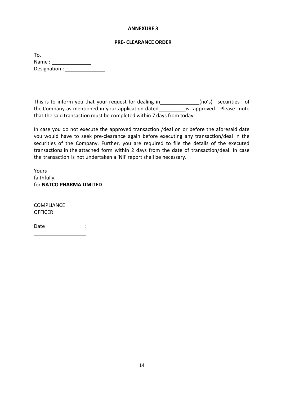#### **PRE- CLEARANCE ORDER**

To, Name : Designation : \_\_\_\_\_

This is to inform you that your request for dealing in\_\_\_\_\_\_\_\_\_\_\_\_\_\_(no's) securities of the Company as mentioned in your application dated \_\_\_\_\_\_\_\_\_\_\_is approved. Please note that the said transaction must be completed within 7 days from today.

In case you do not execute the approved transaction /deal on or before the aforesaid date you would have to seek pre-clearance again before executing any transaction/deal in the securities of the Company. Further, you are required to file the details of the executed transactions in the attached form within 2 days from the date of transaction/deal. In case the transaction is not undertaken a 'Nil' report shall be necessary.

Yours faithfully, for **NATCO PHARMA LIMITED**

COMPLIANCE **OFFICER** 

Date : the state of the state of the state of the state of the state of the state of the state of the state of the state of the state of the state of the state of the state of the state of the state of the state of the sta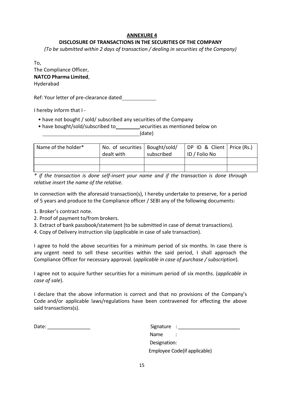# **DISCLOSURE OF TRANSACTIONS IN THE SECURITIES OF THE COMPANY**

*(To be submitted within 2 days of transaction / dealing in securities of the Company)*

To,

| The Compliance Officer,      |
|------------------------------|
| <b>NATCO Pharma Limited,</b> |
| Hyderabad                    |

Ref: Your letter of pre-clearance dated

I hereby inform that I -

- have not bought / sold/ subscribed any securities of the Company
- have bought/sold/subscribed to securities as mentioned below on

(date)

| Name of the holder* | No. of securities   Bought/sold/<br>dealt with | subscribed | DP ID & Client   Price (Rs.)<br>ID / Folio No |  |
|---------------------|------------------------------------------------|------------|-----------------------------------------------|--|
|                     |                                                |            |                                               |  |
|                     |                                                |            |                                               |  |

*\* if the transaction is done self-insert your name and if the transaction is done through relative insert the name of the relative.*

In connection with the aforesaid transaction(s), I hereby undertake to preserve, for a period of 5 years and produce to the Compliance officer / SEBI any of the following documents:

- 1. Broker's contract note.
- 2. Proof of payment to/from brokers.
- 3. Extract of bank passbook/statement (to be submitted in case of demat transactions).
- 4. Copy of Delivery instruction slip (applicable in case of sale transaction).

I agree to hold the above securities for a minimum period of six months. In case there is any urgent need to sell these securities within the said period, I shall approach the Compliance Officer for necessary approval. (*applicable in case of purchase / subscription*).

I agree not to acquire further securities for a minimum period of six months. (*applicable in case of sale*).

I declare that the above information is correct and that no provisions of the Company's Code and/or applicable laws/regulations have been contravened for effecting the above said transactions(s).

Date: \_\_\_\_\_\_\_\_\_\_\_\_\_\_\_\_ Signature : \_\_\_\_\_\_\_\_\_\_\_\_\_\_\_\_\_\_\_\_\_\_\_

| Signature :  |                              |
|--------------|------------------------------|
| Name         |                              |
| Designation: |                              |
|              | Employee Code(if applicable) |
|              |                              |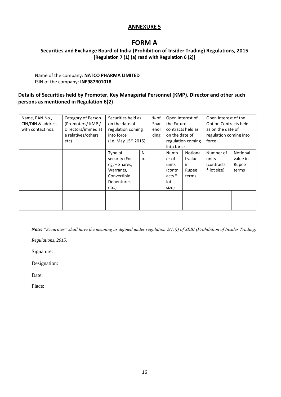# **FORM A**

# **Securities and Exchange Board of India (Prohibition of Insider Trading) Regulations, 2015 [Regulation 7 (1) (a) read with Regulation 6 (2)]**

#### Name of the company: **NATCO PHARMA LIMITED** ISIN of the company: **INE987B01018**

# **Details of Securities held by Promoter, Key Managerial Personnel (KMP), Director and other such persons as mentioned in Regulation 6(2)**

| Name, PAN No.,<br>CIN/DIN & address<br>with contact nos. | Category of Person<br>(Promoters/KMP/<br>Directors/immediat<br>e relatives/others<br>etc) | Securities held as<br>on the date of<br>regulation coming<br>into force<br>(i.e. May $15^{th}$ 2015) |         | % of<br>Shar<br>ehol<br>ding | Open Interest of<br>the Future<br>contracts held as<br>on the date of<br>regulation coming<br>into force |                                                   | Open Interest of the<br><b>Option Contracts held</b><br>as on the date of<br>regulation coming into<br>force |                                        |
|----------------------------------------------------------|-------------------------------------------------------------------------------------------|------------------------------------------------------------------------------------------------------|---------|------------------------------|----------------------------------------------------------------------------------------------------------|---------------------------------------------------|--------------------------------------------------------------------------------------------------------------|----------------------------------------|
|                                                          |                                                                                           | Type of<br>security (For<br>eg. – Shares,<br>Warrants,<br>Convertible<br>Debentures<br>etc.)         | N<br>0. |                              | Numb<br>er of<br>units<br>(contr<br>$acts *$<br>lot<br>size)                                             | <b>Notiona</b><br>I value<br>in<br>Rupee<br>terms | Number of<br>units<br>(contracts)<br>* lot size)                                                             | Notional<br>value in<br>Rupee<br>terms |

*Note: "Securities" shall have the meaning as defined under regulation 2(1)(i) of SEBI (Prohibition of Insider Trading)* 

*Regulations, 2015.*

Signature:

Designation:

Date:

Place: